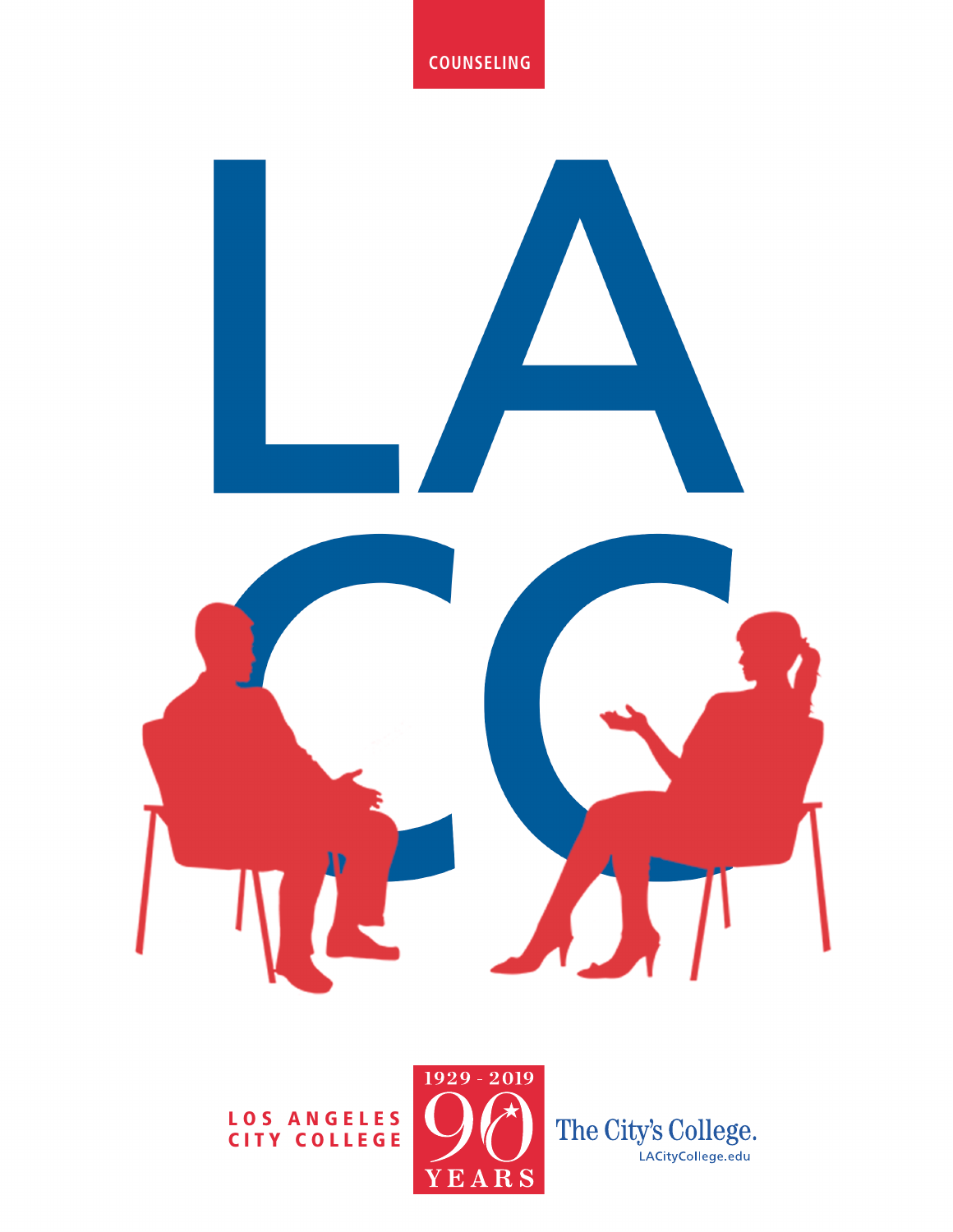#### **COUNSELING**



LOS ANGELES CITY COLLEGE